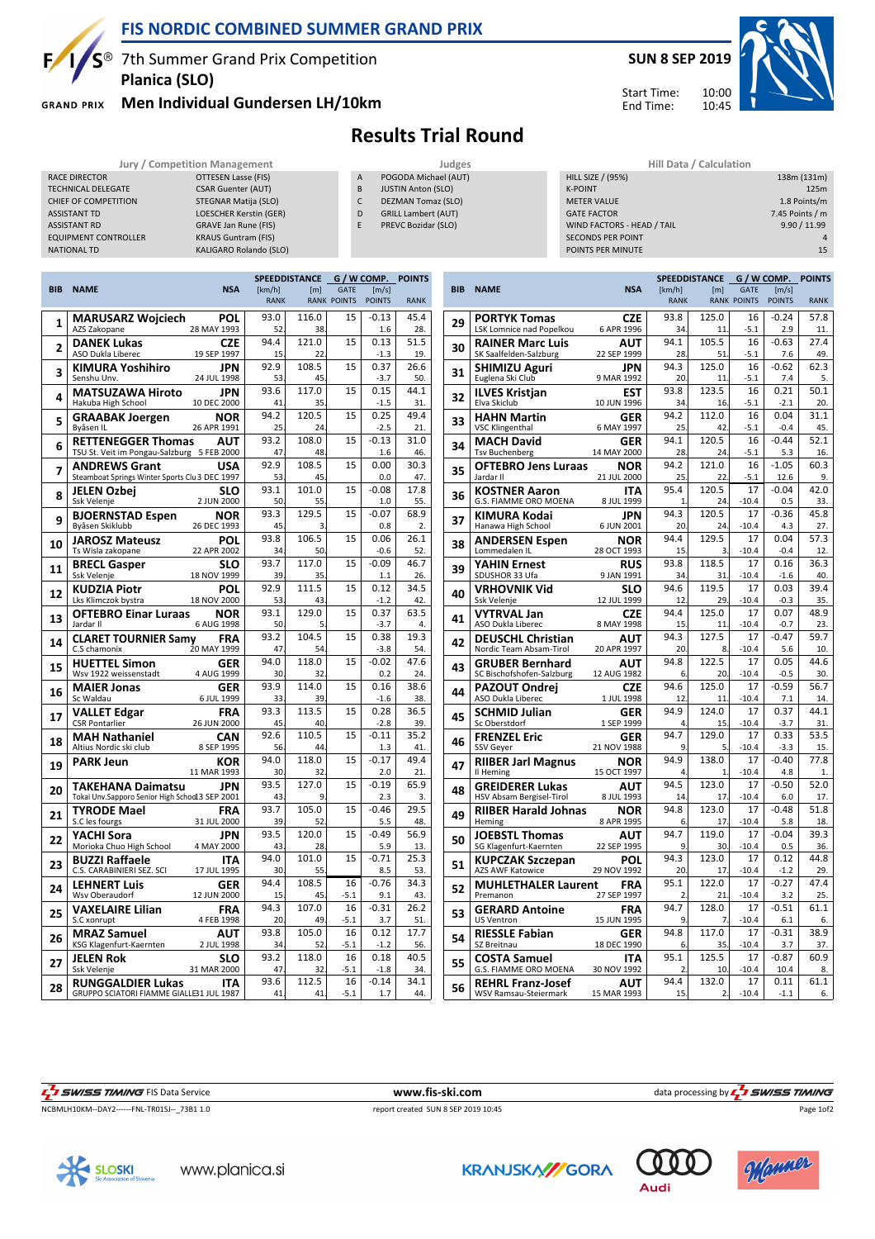

### **FIS NORDIC COMBINED SUMMER GRAND PRIX**

S<sup>®</sup> 7th Summer Grand Prix Competition **Planica (SLO)**

**GRAND PRIX** 

#### **Men Individual Gundersen LH/10km**

RACE DIRECTOR **CONTROL** OTTESEN Lasse (FIS) TECHNICAL DELEGATE CSAR Guenter (AUT) CHIEF OF COMPETITION STEGNAR Matija (SLO) ASSISTANT TD LOESCHER Kerstin (GER) ASSISTANT RD GRAVE Jan Rune (FIS) **EQUIPMENT CONTROLLER** KRAUS Guntram (FIS) NATIONAL TD KALIGARO Rolando (SLO)



10:00 10:45 Start Time: End Time:



# **Results Trial Round**

| Jury / Competition Management | Judges                     |                                     | Hill Data / Calculation |                                                                                                                                                                       |
|-------------------------------|----------------------------|-------------------------------------|-------------------------|-----------------------------------------------------------------------------------------------------------------------------------------------------------------------|
| OTTESEN Lasse (FIS)           | POGODA Michael (AUT)       |                                     |                         | 138m (131m)                                                                                                                                                           |
| <b>CSAR Guenter (AUT)</b>     | <b>JUSTIN Anton (SLO)</b>  |                                     |                         | 125m                                                                                                                                                                  |
| STEGNAR Matija (SLO)          | <b>DEZMAN Tomaz (SLO)</b>  |                                     |                         | 1.8 Points/m                                                                                                                                                          |
| LOESCHER Kerstin (GER)        | <b>GRILL Lambert (AUT)</b> |                                     |                         | 7.45 Points / m                                                                                                                                                       |
| GRAVE Jan Rune (FIS)          | PREVC Bozidar (SLO)        |                                     |                         | 9.90 / 11.99                                                                                                                                                          |
| <b>KRAUS Guntram (FIS)</b>    |                            |                                     |                         |                                                                                                                                                                       |
| KALIGARO Rolando (SLO)        |                            |                                     |                         | 15                                                                                                                                                                    |
|                               |                            | $\overline{A}$<br><sub>B</sub><br>D |                         | <b>HILL SIZE / (95%)</b><br><b>K-POINT</b><br><b>METER VALUE</b><br><b>GATE FACTOR</b><br>WIND FACTORS - HEAD / TAIL<br><b>SECONDS PER POINT</b><br>POINTS PER MINUTE |

|                                       |                                                |                    |             | SPEEDDISTANCE | G / W COMP.        |                | <b>POINTS</b> |
|---------------------------------------|------------------------------------------------|--------------------|-------------|---------------|--------------------|----------------|---------------|
| <b>BIB</b>                            | <b>NAME</b>                                    | <b>NSA</b>         | [km/h]      | [m]           | <b>GATE</b>        | [m/s]          |               |
|                                       |                                                |                    | <b>RANK</b> |               | <b>RANK POINTS</b> | <b>POINTS</b>  | <b>RANK</b>   |
| 1                                     | MARUSARZ Wojciech                              | POL                | 93.0        | 116.0         | 15                 | $-0.13$        | 45.4          |
|                                       | AZS Zakopane                                   | 28 MAY 1993        | 52          | 38            |                    | 1.6            | 28.           |
| 2                                     | <b>DANEK Lukas</b>                             | CZE                | 94.4        | 121.0         | 15                 | 0.13           | 51.5          |
|                                       | ASO Dukla Liberec                              | 19 SEP 1997        | 15          | 22            |                    | $-1.3$         | 19.           |
| 3                                     | KIMURA Yoshihiro                               | JPN                | 92.9        | 108.5         | 15                 | 0.37           | 26.6          |
|                                       | Senshu Unv.                                    | 24 JUL 1998        | 53          | 45            |                    | $-3.7$         | 50.           |
| 4                                     | <b>MATSUZAWA Hiroto</b>                        | JPN                | 93.6        | 117.0         | 15                 | 0.15           | 44.1          |
|                                       | Hakuba High School                             | 10 DEC 2000        | 41          | 35            |                    | $-1.5$         | 31.           |
| 5                                     | <b>GRAABAK Joergen</b>                         | NOR                | 94.2        | 120.5         | 15                 | 0.25           | 49.4          |
|                                       | Byåsen IL                                      | 26 APR 1991        | 25          | 24            |                    | $-2.5$         | 21.           |
| 6                                     | <b>RETTENEGGER Thomas</b>                      | AUT                | 93.2        | 108.0         | 15                 | $-0.13$        | 31.0          |
|                                       | TSU St. Veit im Pongau-Salzburg                | 5 FEB 2000         | 47          | 48            |                    | 1.6            | 46.           |
| 7                                     | <b>ANDREWS Grant</b>                           | <b>USA</b>         | 92.9        | 108.5         | 15                 | 0.00           | 30.3          |
|                                       | Steamboat Springs Winter Sports Clu 3 DEC 1997 |                    | 53          | 45            |                    | 0.0            | 47.           |
| 8                                     | JELEN Ozbei                                    | SLO                | 93.1        | 101.0         | 15                 | $-0.08$        | 17.8          |
|                                       | Ssk Velenje                                    | 2 JUN 2000         | 50<br>93.3  | 55<br>129.5   | 15                 | 1.0<br>$-0.07$ | 55.<br>68.9   |
| 9                                     | <b>BJOERNSTAD Espen</b><br>Byåsen Skiklubb     | NOR<br>26 DEC 1993 | 45          | 3             |                    | 0.8            | 2.            |
|                                       |                                                | POL                | 93.8        | 106.5         | 15                 | 0.06           | 26.1          |
| 10                                    | <b>JAROSZ Mateusz</b><br>Ts Wisla zakopane     | 22 APR 2002        | 34          | 50            |                    | $-0.6$         | 52.           |
|                                       | <b>BRECL Gasper</b>                            | SLO                | 93.7        | 117.0         | 15                 | $-0.09$        | 46.7          |
| 11                                    | Ssk Velenje                                    | 18 NOV 1999        | 39          | 35            |                    | 1.1            | 26.           |
|                                       | <b>KUDZIA Piotr</b>                            | POL                | 92.9        | 111.5         | 15                 | 0.12           | 34.5          |
| 12                                    | Lks Klimczok bystra                            | 18 NOV 2000        | 53          | 43            |                    | $-1.2$         | 42.           |
| 13                                    | <b>OFTEBRO Einar Luraas</b>                    | <b>NOR</b>         | 93.1        | 129.0         | 15                 | 0.37           | 63.5          |
|                                       | Jardar II                                      | 6 AUG 1998         | 50          | 5             |                    | $-3.7$         | 4.            |
| 14                                    | <b>CLARET TOURNIER Samy</b>                    | FRA                | 93.2        | 104.5         | 15                 | 0.38           | 19.3          |
|                                       | C.S chamonix                                   | 20 MAY 1999        | 47          | 54            |                    | $-3.8$         | 54.           |
| 15                                    | <b>HUETTEL Simon</b>                           | GER                | 94.0        | 118.0         | 15                 | $-0.02$        | 47.6          |
|                                       | Wsv 1922 weissenstadt                          | 4 AUG 1999         | 30<br>93.9  | 32            |                    | 0.2            | 24.           |
| <b>MAIER Jonas</b><br>16<br>Sc Waldau | GER<br>6 JUL 1999                              | 33                 | 114.0<br>39 | 15            | 0.16<br>$-1.6$     | 38.6<br>38.    |               |
|                                       |                                                | FRA                | 93.3        | 113.5         | 15                 | 0.28           | 36.5          |
| 17                                    | <b>VALLET Edgar</b><br><b>CSR Pontarlier</b>   | 26 JUN 2000        | 45          | 40            |                    | $-2.8$         | 39.           |
|                                       | <b>MAH Nathaniel</b>                           | CAN                | 92.6        | 110.5         | 15                 | $-0.11$        | 35.2          |
| 18                                    | Altius Nordic ski club                         | 8 SEP 1995         | 56          | 44            |                    | 1.3            | 41.           |
|                                       | <b>PARK Jeun</b>                               | KOR                | 94.0        | 118.0         | 15                 | $-0.17$        | 49.4          |
| 19                                    |                                                | 11 MAR 1993        | 30          | 32            |                    | 2.0            | 21            |
| 20                                    | TAKEHANA Daimatsu                              | JPN                | 93.5        | 127.0         | 15                 | $-0.19$        | 65.9          |
|                                       | Tokai Unv.Sapporo Senior High Schod13 SEP 2001 |                    | 43          | 9             |                    | 2.3            | 3.            |
| 21                                    | <b>TYRODE Mael</b>                             | FRA                | 93.7        | 105.0         | 15                 | $-0.46$        | 29.5          |
|                                       | S.C les fourgs                                 | 31 JUL 2000        | 39          | 52            |                    | 5.5            | 48.           |
| 22                                    | YACHI Sora                                     | <b>JPN</b>         | 93.5        | 120.0         | 15                 | $-0.49$        | 56.9          |
|                                       | Morioka Chuo High School                       | 4 MAY 2000         | 43          | 28            |                    | 5.9            | 13.           |
| 23                                    | <b>BUZZI Raffaele</b>                          | <b>ITA</b>         | 94.0        | 101.0         | 15                 | $-0.71$        | 25.3          |
|                                       | C.S. CARABINIERI SEZ. SCI                      | 17 JUL 1995        | 30<br>94.4  | 55<br>108.5   | 16                 | 8.5<br>$-0.76$ | 53.<br>34.3   |
| 24                                    | <b>LEHNERT Luis</b>                            | GER<br>12 JUN 2000 | 15          | 45            | $-5.1$             | 9.1            | 43.           |
|                                       | Wsv Oberaudorf<br>VAXELAIRE Lilian             | FRA                | 94.3        | 107.0         | 16                 | $-0.31$        | 26.2          |
| 25                                    | S.C xonrupt                                    | 4 FEB 1998         | 20          | 49            | $-5.1$             | 3.7            | 51            |
|                                       | <b>MRAZ Samuel</b>                             | AUT                | 93.8        | 105.0         | 16                 | 0.12           | 17.7          |
| 26                                    | KSG Klagenfurt-Kaernten                        | 2 JUL 1998         | 34          | 52            | $-5.1$             | $-1.2$         | 56.           |
|                                       | JELEN Rok                                      | SLO                | 93.2        | 118.0         | 16                 | 0.18           | 40.5          |
| 27                                    | Ssk Velenje                                    | 31 MAR 2000        | 47          | 32            | $-5.1$             | $-1.8$         | 34.           |
|                                       | <b>RUNGGALDIER Lukas</b>                       | <b>ITA</b>         | 93.6        | 112.5         | 16                 | $-0.14$        | 34.1          |
| 28                                    | GRUPPO SCIATORI FIAMME GIALLE31 JUL 1987       |                    | 41          | 41            | $-5.1$             | 1.7            | 44            |
|                                       |                                                |                    |             |               |                    |                |               |

| <b>BIB</b><br><b>NAME</b><br><b>NSA</b><br>[km/h]<br><b>GATE</b><br>[m/s]<br>[m]<br><b>RANK POINTS</b><br><b>RANK</b><br><b>POINTS</b><br><b>RANK</b><br>125.0<br>93.8<br>$-0.24$<br>57.8<br><b>PORTYK Tomas</b><br><b>CZE</b><br>16<br>29<br>LSK Lomnice nad Popelkou<br>6 APR 1996<br>$-5.1$<br>2.9<br>34<br>11.<br>11<br>94.1<br>105.5<br>16<br>$-0.63$<br>27.4<br><b>RAINER Marc Luis</b><br>AUT<br>30<br>SK Saalfelden-Salzburg<br>22 SEP 1999<br>$-5.1$<br>7.6<br>49.<br>28<br>51<br>125.0<br>16<br>62.3<br>94.3<br>$-0.62$<br><b>JPN</b><br><b>SHIMIZU Aguri</b><br>31<br>$-5.1$<br>5.<br>Euglena Ski Club<br>9 MAR 1992<br>20<br>7.4<br>11<br>93.8<br>123.5<br>16<br>0.21<br>50.1<br><b>ILVES Kristjan</b><br>EST<br>32<br>Elva Skiclub<br>10 JUN 1996<br>34<br>$-5.1$<br>$-2.1$<br>20.<br>16<br>94.2<br>112.0<br>16<br>0.04<br>31.1<br><b>HAHN Martin</b><br>GER<br>33<br><b>VSC Klingenthal</b><br>6 MAY 1997<br>25<br>$-5.1$<br>$-0.4$<br>45.<br>42<br>94.1<br>120.5<br>16<br>$-0.44$<br>52.1<br><b>MACH David</b><br><b>GER</b><br>34<br><b>Tsv Buchenberg</b><br>14 MAY 2000<br>$-5.1$<br>5.3<br>28<br>24<br>16.<br>94.2<br>121.0<br>16<br>$-1.05$<br>60.3<br><b>OFTEBRO Jens Luraas</b><br><b>NOR</b><br>35<br>Jardar II<br>21 JUL 2000<br>25<br>$-5.1$<br>9.<br>22<br>12.6<br>95.4<br>120.5<br>17<br>42.0<br>$-0.04$<br><b>KOSTNER Aaron</b><br><b>ITA</b><br>36<br>G.S. FIAMME ORO MOENA<br>8 JUL 1999<br>$-10.4$<br>0.5<br>33.<br>1<br>24<br>94.3<br>120.5<br>17<br>$-0.36$<br>45.8<br>JPN<br>KIMURA Kodai<br>37<br>Hanawa High School<br>6 JUN 2001<br>$-10.4$<br>4.3<br>20<br>24<br>27.<br>94.4<br>129.5<br>0.04<br>17<br>57.3<br><b>ANDERSEN Espen</b><br><b>NOR</b><br>38<br>Lommedalen IL<br>28 OCT 1993<br>15<br>$-10.4$<br>$-0.4$<br>12.<br>3<br>118.5<br>17<br>0.16<br>93.8<br>36.3<br><b>YAHIN Ernest</b><br><b>RUS</b><br>39<br>SDUSHOR 33 Ufa<br>$-10.4$<br>40.<br>9 JAN 1991<br>$-1.6$<br>34<br>31<br>94.6<br>119.5<br>39.4<br>17<br>0.03<br>VRHOVNIK Vid<br>SLO<br>40<br>$-0.3$<br>35.<br>Ssk Velenje<br>12 JUL 1999<br>29<br>$-10.4$<br>12<br>125.0<br>94.4<br>17<br>0.07<br>48.9<br><b>VYTRVAL Jan</b><br><b>CZE</b><br>41<br>8 MAY 1998<br>$-10.4$<br>$-0.7$<br>ASO Dukla Liberec<br>15<br>23.<br>11<br>94.3<br>17<br>127.5<br>$-0.47$<br>59.7<br><b>DEUSCHL Christian</b><br>AUT<br>42<br>Nordic Team Absam-Tirol<br>20 APR 1997<br>20<br>$\mathsf{\overline{R}}$<br>$-10.4$<br>5.6<br>10.<br>94.8<br>122.5<br>17<br>0.05<br>44.6<br><b>GRUBER Bernhard</b><br>AUT<br>43<br>$-10.4$<br>$-0.5$<br>30.<br>SC Bischofshofen-Salzburg<br>12 AUG 1982<br>20<br>6<br>125.0<br>17<br>$-0.59$<br>94.6<br>56.7<br><b>PAZOUT Ondrej</b><br><b>CZF</b><br>44<br>ASO Dukla Liberec<br>$-10.4$<br>14.<br>1 JUL 1998<br>12<br>11<br>7.1<br>0.37<br>94.9<br>124.0<br>17<br>44.1<br><b>SCHMID Julian</b><br>GER<br>45<br>Sc Oberstdorf<br>1 SEP 1999<br>$-10.4$<br>15<br>-3.7<br>31.<br>4<br>17<br>0.33<br>53.5<br>94.7<br>129.0<br><b>FRENZEL Eric</b><br><b>GER</b><br>46<br>$-10.4$<br>$-3.3$<br>15.<br>SSV Geyer<br>21 NOV 1988<br>٩<br>5<br>17<br>$-0.40$<br>77.8<br>94.9<br>138.0<br><b>RIIBER Jarl Magnus</b><br>NOR<br>47<br>Il Heming<br>$-10.4$<br>4.8<br>15 OCT 1997<br>4<br>1<br>1.<br>94.5<br>123.0<br>17<br>$-0.50$<br>52.0<br><b>GREIDERER Lukas</b><br>AUT<br>48<br>HSV Absam Bergisel-Tirol<br>8 JUL 1993<br>$-10.4$<br>6.0<br>17.<br>14<br>17<br>123.0<br>17<br>$-0.48$<br>51.8<br>94.8<br><b>RIIBER Harald Johnas</b><br><b>NOR</b><br>49<br>8 APR 1995<br>$-10.4$<br>5.8<br>Heming<br>6<br>17<br>18.<br>17<br>94.7<br>119.0<br>$-0.04$<br>39.3<br><b>JOEBSTL Thomas</b><br>AUT<br>50<br>22 SEP 1995<br>SG Klagenfurt-Kaernten<br>30<br>$-10.4$<br>0.5<br>36.<br>q<br>94.3<br>123.0<br>17<br>0.12<br>44.8<br><b>KUPCZAK Szczepan</b><br>POL<br>51<br>$-10.4$<br>29.<br>AZS AWF Katowice<br>29 NOV 1992<br>20<br>17<br>$-1.2$<br>17<br>47.4<br>95.1<br>122.0<br>$-0.27$<br><b>MUHLETHALER Laurent</b><br><b>FRA</b><br>52<br>Premanon<br>27 SEP 1997<br>2<br>21<br>$-10.4$<br>3.2<br>25.<br>17<br>94.7<br>128.0<br>$-0.51$<br>61.1<br><b>GERARD Antoine</b><br>FRA<br>53<br>15 JUN 1995<br>$-10.4$<br><b>US Ventron</b><br>٩<br>7<br>6.1<br>6.<br>17<br>$-0.31$<br>38.9<br>94.8<br>117.0<br><b>RIESSLE Fabian</b><br>GER<br>54<br>SZ Breitnau<br>18 DEC 1990<br>35<br>$-10.4$<br>3.7<br>37.<br>6<br>125.5<br>17<br>60.9<br>95.1<br>$-0.87$<br><b>COSTA Samuel</b><br>ITA<br>55<br>30 NOV 1992<br>$-10.4$<br>10.4<br>G.S. FIAMME ORO MOENA<br>2<br>10<br>8.<br>94.4<br>132.0<br>17<br>0.11<br>61.1<br><b>REHRL Franz-Josef</b><br>AUT<br>56<br>WSV Ramsau-Steiermark<br>15 MAR 1993<br>15<br>2<br>$-10.4$<br>$-1.1$<br>6. |  |  | SPEEDDISTANCE | G | / W COMP | <b>POINTS</b> |
|--------------------------------------------------------------------------------------------------------------------------------------------------------------------------------------------------------------------------------------------------------------------------------------------------------------------------------------------------------------------------------------------------------------------------------------------------------------------------------------------------------------------------------------------------------------------------------------------------------------------------------------------------------------------------------------------------------------------------------------------------------------------------------------------------------------------------------------------------------------------------------------------------------------------------------------------------------------------------------------------------------------------------------------------------------------------------------------------------------------------------------------------------------------------------------------------------------------------------------------------------------------------------------------------------------------------------------------------------------------------------------------------------------------------------------------------------------------------------------------------------------------------------------------------------------------------------------------------------------------------------------------------------------------------------------------------------------------------------------------------------------------------------------------------------------------------------------------------------------------------------------------------------------------------------------------------------------------------------------------------------------------------------------------------------------------------------------------------------------------------------------------------------------------------------------------------------------------------------------------------------------------------------------------------------------------------------------------------------------------------------------------------------------------------------------------------------------------------------------------------------------------------------------------------------------------------------------------------------------------------------------------------------------------------------------------------------------------------------------------------------------------------------------------------------------------------------------------------------------------------------------------------------------------------------------------------------------------------------------------------------------------------------------------------------------------------------------------------------------------------------------------------------------------------------------------------------------------------------------------------------------------------------------------------------------------------------------------------------------------------------------------------------------------------------------------------------------------------------------------------------------------------------------------------------------------------------------------------------------------------------------------------------------------------------------------------------------------------------------------------------------------------------------------------------------------------------------------------------------------------------------------------------------------------------------------------------------------------------------------------------------------------------------------------------------------------------------------------------------------------------------------------------------------------------------------------------------------------------------------------------------------------------------------------------------------------------------------------------------------------------------------------------------------------------------------------------------------------------------------------------------------------------------------------------------------------------------------------------------------------------------------------------------------|--|--|---------------|---|----------|---------------|
|                                                                                                                                                                                                                                                                                                                                                                                                                                                                                                                                                                                                                                                                                                                                                                                                                                                                                                                                                                                                                                                                                                                                                                                                                                                                                                                                                                                                                                                                                                                                                                                                                                                                                                                                                                                                                                                                                                                                                                                                                                                                                                                                                                                                                                                                                                                                                                                                                                                                                                                                                                                                                                                                                                                                                                                                                                                                                                                                                                                                                                                                                                                                                                                                                                                                                                                                                                                                                                                                                                                                                                                                                                                                                                                                                                                                                                                                                                                                                                                                                                                                                                                                                                                                                                                                                                                                                                                                                                                                                                                                                                                                                                                              |  |  |               |   |          |               |
|                                                                                                                                                                                                                                                                                                                                                                                                                                                                                                                                                                                                                                                                                                                                                                                                                                                                                                                                                                                                                                                                                                                                                                                                                                                                                                                                                                                                                                                                                                                                                                                                                                                                                                                                                                                                                                                                                                                                                                                                                                                                                                                                                                                                                                                                                                                                                                                                                                                                                                                                                                                                                                                                                                                                                                                                                                                                                                                                                                                                                                                                                                                                                                                                                                                                                                                                                                                                                                                                                                                                                                                                                                                                                                                                                                                                                                                                                                                                                                                                                                                                                                                                                                                                                                                                                                                                                                                                                                                                                                                                                                                                                                                              |  |  |               |   |          |               |
|                                                                                                                                                                                                                                                                                                                                                                                                                                                                                                                                                                                                                                                                                                                                                                                                                                                                                                                                                                                                                                                                                                                                                                                                                                                                                                                                                                                                                                                                                                                                                                                                                                                                                                                                                                                                                                                                                                                                                                                                                                                                                                                                                                                                                                                                                                                                                                                                                                                                                                                                                                                                                                                                                                                                                                                                                                                                                                                                                                                                                                                                                                                                                                                                                                                                                                                                                                                                                                                                                                                                                                                                                                                                                                                                                                                                                                                                                                                                                                                                                                                                                                                                                                                                                                                                                                                                                                                                                                                                                                                                                                                                                                                              |  |  |               |   |          |               |
|                                                                                                                                                                                                                                                                                                                                                                                                                                                                                                                                                                                                                                                                                                                                                                                                                                                                                                                                                                                                                                                                                                                                                                                                                                                                                                                                                                                                                                                                                                                                                                                                                                                                                                                                                                                                                                                                                                                                                                                                                                                                                                                                                                                                                                                                                                                                                                                                                                                                                                                                                                                                                                                                                                                                                                                                                                                                                                                                                                                                                                                                                                                                                                                                                                                                                                                                                                                                                                                                                                                                                                                                                                                                                                                                                                                                                                                                                                                                                                                                                                                                                                                                                                                                                                                                                                                                                                                                                                                                                                                                                                                                                                                              |  |  |               |   |          |               |
|                                                                                                                                                                                                                                                                                                                                                                                                                                                                                                                                                                                                                                                                                                                                                                                                                                                                                                                                                                                                                                                                                                                                                                                                                                                                                                                                                                                                                                                                                                                                                                                                                                                                                                                                                                                                                                                                                                                                                                                                                                                                                                                                                                                                                                                                                                                                                                                                                                                                                                                                                                                                                                                                                                                                                                                                                                                                                                                                                                                                                                                                                                                                                                                                                                                                                                                                                                                                                                                                                                                                                                                                                                                                                                                                                                                                                                                                                                                                                                                                                                                                                                                                                                                                                                                                                                                                                                                                                                                                                                                                                                                                                                                              |  |  |               |   |          |               |
|                                                                                                                                                                                                                                                                                                                                                                                                                                                                                                                                                                                                                                                                                                                                                                                                                                                                                                                                                                                                                                                                                                                                                                                                                                                                                                                                                                                                                                                                                                                                                                                                                                                                                                                                                                                                                                                                                                                                                                                                                                                                                                                                                                                                                                                                                                                                                                                                                                                                                                                                                                                                                                                                                                                                                                                                                                                                                                                                                                                                                                                                                                                                                                                                                                                                                                                                                                                                                                                                                                                                                                                                                                                                                                                                                                                                                                                                                                                                                                                                                                                                                                                                                                                                                                                                                                                                                                                                                                                                                                                                                                                                                                                              |  |  |               |   |          |               |
|                                                                                                                                                                                                                                                                                                                                                                                                                                                                                                                                                                                                                                                                                                                                                                                                                                                                                                                                                                                                                                                                                                                                                                                                                                                                                                                                                                                                                                                                                                                                                                                                                                                                                                                                                                                                                                                                                                                                                                                                                                                                                                                                                                                                                                                                                                                                                                                                                                                                                                                                                                                                                                                                                                                                                                                                                                                                                                                                                                                                                                                                                                                                                                                                                                                                                                                                                                                                                                                                                                                                                                                                                                                                                                                                                                                                                                                                                                                                                                                                                                                                                                                                                                                                                                                                                                                                                                                                                                                                                                                                                                                                                                                              |  |  |               |   |          |               |
|                                                                                                                                                                                                                                                                                                                                                                                                                                                                                                                                                                                                                                                                                                                                                                                                                                                                                                                                                                                                                                                                                                                                                                                                                                                                                                                                                                                                                                                                                                                                                                                                                                                                                                                                                                                                                                                                                                                                                                                                                                                                                                                                                                                                                                                                                                                                                                                                                                                                                                                                                                                                                                                                                                                                                                                                                                                                                                                                                                                                                                                                                                                                                                                                                                                                                                                                                                                                                                                                                                                                                                                                                                                                                                                                                                                                                                                                                                                                                                                                                                                                                                                                                                                                                                                                                                                                                                                                                                                                                                                                                                                                                                                              |  |  |               |   |          |               |
|                                                                                                                                                                                                                                                                                                                                                                                                                                                                                                                                                                                                                                                                                                                                                                                                                                                                                                                                                                                                                                                                                                                                                                                                                                                                                                                                                                                                                                                                                                                                                                                                                                                                                                                                                                                                                                                                                                                                                                                                                                                                                                                                                                                                                                                                                                                                                                                                                                                                                                                                                                                                                                                                                                                                                                                                                                                                                                                                                                                                                                                                                                                                                                                                                                                                                                                                                                                                                                                                                                                                                                                                                                                                                                                                                                                                                                                                                                                                                                                                                                                                                                                                                                                                                                                                                                                                                                                                                                                                                                                                                                                                                                                              |  |  |               |   |          |               |
|                                                                                                                                                                                                                                                                                                                                                                                                                                                                                                                                                                                                                                                                                                                                                                                                                                                                                                                                                                                                                                                                                                                                                                                                                                                                                                                                                                                                                                                                                                                                                                                                                                                                                                                                                                                                                                                                                                                                                                                                                                                                                                                                                                                                                                                                                                                                                                                                                                                                                                                                                                                                                                                                                                                                                                                                                                                                                                                                                                                                                                                                                                                                                                                                                                                                                                                                                                                                                                                                                                                                                                                                                                                                                                                                                                                                                                                                                                                                                                                                                                                                                                                                                                                                                                                                                                                                                                                                                                                                                                                                                                                                                                                              |  |  |               |   |          |               |
|                                                                                                                                                                                                                                                                                                                                                                                                                                                                                                                                                                                                                                                                                                                                                                                                                                                                                                                                                                                                                                                                                                                                                                                                                                                                                                                                                                                                                                                                                                                                                                                                                                                                                                                                                                                                                                                                                                                                                                                                                                                                                                                                                                                                                                                                                                                                                                                                                                                                                                                                                                                                                                                                                                                                                                                                                                                                                                                                                                                                                                                                                                                                                                                                                                                                                                                                                                                                                                                                                                                                                                                                                                                                                                                                                                                                                                                                                                                                                                                                                                                                                                                                                                                                                                                                                                                                                                                                                                                                                                                                                                                                                                                              |  |  |               |   |          |               |
|                                                                                                                                                                                                                                                                                                                                                                                                                                                                                                                                                                                                                                                                                                                                                                                                                                                                                                                                                                                                                                                                                                                                                                                                                                                                                                                                                                                                                                                                                                                                                                                                                                                                                                                                                                                                                                                                                                                                                                                                                                                                                                                                                                                                                                                                                                                                                                                                                                                                                                                                                                                                                                                                                                                                                                                                                                                                                                                                                                                                                                                                                                                                                                                                                                                                                                                                                                                                                                                                                                                                                                                                                                                                                                                                                                                                                                                                                                                                                                                                                                                                                                                                                                                                                                                                                                                                                                                                                                                                                                                                                                                                                                                              |  |  |               |   |          |               |
|                                                                                                                                                                                                                                                                                                                                                                                                                                                                                                                                                                                                                                                                                                                                                                                                                                                                                                                                                                                                                                                                                                                                                                                                                                                                                                                                                                                                                                                                                                                                                                                                                                                                                                                                                                                                                                                                                                                                                                                                                                                                                                                                                                                                                                                                                                                                                                                                                                                                                                                                                                                                                                                                                                                                                                                                                                                                                                                                                                                                                                                                                                                                                                                                                                                                                                                                                                                                                                                                                                                                                                                                                                                                                                                                                                                                                                                                                                                                                                                                                                                                                                                                                                                                                                                                                                                                                                                                                                                                                                                                                                                                                                                              |  |  |               |   |          |               |
|                                                                                                                                                                                                                                                                                                                                                                                                                                                                                                                                                                                                                                                                                                                                                                                                                                                                                                                                                                                                                                                                                                                                                                                                                                                                                                                                                                                                                                                                                                                                                                                                                                                                                                                                                                                                                                                                                                                                                                                                                                                                                                                                                                                                                                                                                                                                                                                                                                                                                                                                                                                                                                                                                                                                                                                                                                                                                                                                                                                                                                                                                                                                                                                                                                                                                                                                                                                                                                                                                                                                                                                                                                                                                                                                                                                                                                                                                                                                                                                                                                                                                                                                                                                                                                                                                                                                                                                                                                                                                                                                                                                                                                                              |  |  |               |   |          |               |
|                                                                                                                                                                                                                                                                                                                                                                                                                                                                                                                                                                                                                                                                                                                                                                                                                                                                                                                                                                                                                                                                                                                                                                                                                                                                                                                                                                                                                                                                                                                                                                                                                                                                                                                                                                                                                                                                                                                                                                                                                                                                                                                                                                                                                                                                                                                                                                                                                                                                                                                                                                                                                                                                                                                                                                                                                                                                                                                                                                                                                                                                                                                                                                                                                                                                                                                                                                                                                                                                                                                                                                                                                                                                                                                                                                                                                                                                                                                                                                                                                                                                                                                                                                                                                                                                                                                                                                                                                                                                                                                                                                                                                                                              |  |  |               |   |          |               |
|                                                                                                                                                                                                                                                                                                                                                                                                                                                                                                                                                                                                                                                                                                                                                                                                                                                                                                                                                                                                                                                                                                                                                                                                                                                                                                                                                                                                                                                                                                                                                                                                                                                                                                                                                                                                                                                                                                                                                                                                                                                                                                                                                                                                                                                                                                                                                                                                                                                                                                                                                                                                                                                                                                                                                                                                                                                                                                                                                                                                                                                                                                                                                                                                                                                                                                                                                                                                                                                                                                                                                                                                                                                                                                                                                                                                                                                                                                                                                                                                                                                                                                                                                                                                                                                                                                                                                                                                                                                                                                                                                                                                                                                              |  |  |               |   |          |               |
|                                                                                                                                                                                                                                                                                                                                                                                                                                                                                                                                                                                                                                                                                                                                                                                                                                                                                                                                                                                                                                                                                                                                                                                                                                                                                                                                                                                                                                                                                                                                                                                                                                                                                                                                                                                                                                                                                                                                                                                                                                                                                                                                                                                                                                                                                                                                                                                                                                                                                                                                                                                                                                                                                                                                                                                                                                                                                                                                                                                                                                                                                                                                                                                                                                                                                                                                                                                                                                                                                                                                                                                                                                                                                                                                                                                                                                                                                                                                                                                                                                                                                                                                                                                                                                                                                                                                                                                                                                                                                                                                                                                                                                                              |  |  |               |   |          |               |
|                                                                                                                                                                                                                                                                                                                                                                                                                                                                                                                                                                                                                                                                                                                                                                                                                                                                                                                                                                                                                                                                                                                                                                                                                                                                                                                                                                                                                                                                                                                                                                                                                                                                                                                                                                                                                                                                                                                                                                                                                                                                                                                                                                                                                                                                                                                                                                                                                                                                                                                                                                                                                                                                                                                                                                                                                                                                                                                                                                                                                                                                                                                                                                                                                                                                                                                                                                                                                                                                                                                                                                                                                                                                                                                                                                                                                                                                                                                                                                                                                                                                                                                                                                                                                                                                                                                                                                                                                                                                                                                                                                                                                                                              |  |  |               |   |          |               |
|                                                                                                                                                                                                                                                                                                                                                                                                                                                                                                                                                                                                                                                                                                                                                                                                                                                                                                                                                                                                                                                                                                                                                                                                                                                                                                                                                                                                                                                                                                                                                                                                                                                                                                                                                                                                                                                                                                                                                                                                                                                                                                                                                                                                                                                                                                                                                                                                                                                                                                                                                                                                                                                                                                                                                                                                                                                                                                                                                                                                                                                                                                                                                                                                                                                                                                                                                                                                                                                                                                                                                                                                                                                                                                                                                                                                                                                                                                                                                                                                                                                                                                                                                                                                                                                                                                                                                                                                                                                                                                                                                                                                                                                              |  |  |               |   |          |               |
|                                                                                                                                                                                                                                                                                                                                                                                                                                                                                                                                                                                                                                                                                                                                                                                                                                                                                                                                                                                                                                                                                                                                                                                                                                                                                                                                                                                                                                                                                                                                                                                                                                                                                                                                                                                                                                                                                                                                                                                                                                                                                                                                                                                                                                                                                                                                                                                                                                                                                                                                                                                                                                                                                                                                                                                                                                                                                                                                                                                                                                                                                                                                                                                                                                                                                                                                                                                                                                                                                                                                                                                                                                                                                                                                                                                                                                                                                                                                                                                                                                                                                                                                                                                                                                                                                                                                                                                                                                                                                                                                                                                                                                                              |  |  |               |   |          |               |
|                                                                                                                                                                                                                                                                                                                                                                                                                                                                                                                                                                                                                                                                                                                                                                                                                                                                                                                                                                                                                                                                                                                                                                                                                                                                                                                                                                                                                                                                                                                                                                                                                                                                                                                                                                                                                                                                                                                                                                                                                                                                                                                                                                                                                                                                                                                                                                                                                                                                                                                                                                                                                                                                                                                                                                                                                                                                                                                                                                                                                                                                                                                                                                                                                                                                                                                                                                                                                                                                                                                                                                                                                                                                                                                                                                                                                                                                                                                                                                                                                                                                                                                                                                                                                                                                                                                                                                                                                                                                                                                                                                                                                                                              |  |  |               |   |          |               |
|                                                                                                                                                                                                                                                                                                                                                                                                                                                                                                                                                                                                                                                                                                                                                                                                                                                                                                                                                                                                                                                                                                                                                                                                                                                                                                                                                                                                                                                                                                                                                                                                                                                                                                                                                                                                                                                                                                                                                                                                                                                                                                                                                                                                                                                                                                                                                                                                                                                                                                                                                                                                                                                                                                                                                                                                                                                                                                                                                                                                                                                                                                                                                                                                                                                                                                                                                                                                                                                                                                                                                                                                                                                                                                                                                                                                                                                                                                                                                                                                                                                                                                                                                                                                                                                                                                                                                                                                                                                                                                                                                                                                                                                              |  |  |               |   |          |               |
|                                                                                                                                                                                                                                                                                                                                                                                                                                                                                                                                                                                                                                                                                                                                                                                                                                                                                                                                                                                                                                                                                                                                                                                                                                                                                                                                                                                                                                                                                                                                                                                                                                                                                                                                                                                                                                                                                                                                                                                                                                                                                                                                                                                                                                                                                                                                                                                                                                                                                                                                                                                                                                                                                                                                                                                                                                                                                                                                                                                                                                                                                                                                                                                                                                                                                                                                                                                                                                                                                                                                                                                                                                                                                                                                                                                                                                                                                                                                                                                                                                                                                                                                                                                                                                                                                                                                                                                                                                                                                                                                                                                                                                                              |  |  |               |   |          |               |
|                                                                                                                                                                                                                                                                                                                                                                                                                                                                                                                                                                                                                                                                                                                                                                                                                                                                                                                                                                                                                                                                                                                                                                                                                                                                                                                                                                                                                                                                                                                                                                                                                                                                                                                                                                                                                                                                                                                                                                                                                                                                                                                                                                                                                                                                                                                                                                                                                                                                                                                                                                                                                                                                                                                                                                                                                                                                                                                                                                                                                                                                                                                                                                                                                                                                                                                                                                                                                                                                                                                                                                                                                                                                                                                                                                                                                                                                                                                                                                                                                                                                                                                                                                                                                                                                                                                                                                                                                                                                                                                                                                                                                                                              |  |  |               |   |          |               |
|                                                                                                                                                                                                                                                                                                                                                                                                                                                                                                                                                                                                                                                                                                                                                                                                                                                                                                                                                                                                                                                                                                                                                                                                                                                                                                                                                                                                                                                                                                                                                                                                                                                                                                                                                                                                                                                                                                                                                                                                                                                                                                                                                                                                                                                                                                                                                                                                                                                                                                                                                                                                                                                                                                                                                                                                                                                                                                                                                                                                                                                                                                                                                                                                                                                                                                                                                                                                                                                                                                                                                                                                                                                                                                                                                                                                                                                                                                                                                                                                                                                                                                                                                                                                                                                                                                                                                                                                                                                                                                                                                                                                                                                              |  |  |               |   |          |               |
|                                                                                                                                                                                                                                                                                                                                                                                                                                                                                                                                                                                                                                                                                                                                                                                                                                                                                                                                                                                                                                                                                                                                                                                                                                                                                                                                                                                                                                                                                                                                                                                                                                                                                                                                                                                                                                                                                                                                                                                                                                                                                                                                                                                                                                                                                                                                                                                                                                                                                                                                                                                                                                                                                                                                                                                                                                                                                                                                                                                                                                                                                                                                                                                                                                                                                                                                                                                                                                                                                                                                                                                                                                                                                                                                                                                                                                                                                                                                                                                                                                                                                                                                                                                                                                                                                                                                                                                                                                                                                                                                                                                                                                                              |  |  |               |   |          |               |
|                                                                                                                                                                                                                                                                                                                                                                                                                                                                                                                                                                                                                                                                                                                                                                                                                                                                                                                                                                                                                                                                                                                                                                                                                                                                                                                                                                                                                                                                                                                                                                                                                                                                                                                                                                                                                                                                                                                                                                                                                                                                                                                                                                                                                                                                                                                                                                                                                                                                                                                                                                                                                                                                                                                                                                                                                                                                                                                                                                                                                                                                                                                                                                                                                                                                                                                                                                                                                                                                                                                                                                                                                                                                                                                                                                                                                                                                                                                                                                                                                                                                                                                                                                                                                                                                                                                                                                                                                                                                                                                                                                                                                                                              |  |  |               |   |          |               |
|                                                                                                                                                                                                                                                                                                                                                                                                                                                                                                                                                                                                                                                                                                                                                                                                                                                                                                                                                                                                                                                                                                                                                                                                                                                                                                                                                                                                                                                                                                                                                                                                                                                                                                                                                                                                                                                                                                                                                                                                                                                                                                                                                                                                                                                                                                                                                                                                                                                                                                                                                                                                                                                                                                                                                                                                                                                                                                                                                                                                                                                                                                                                                                                                                                                                                                                                                                                                                                                                                                                                                                                                                                                                                                                                                                                                                                                                                                                                                                                                                                                                                                                                                                                                                                                                                                                                                                                                                                                                                                                                                                                                                                                              |  |  |               |   |          |               |
|                                                                                                                                                                                                                                                                                                                                                                                                                                                                                                                                                                                                                                                                                                                                                                                                                                                                                                                                                                                                                                                                                                                                                                                                                                                                                                                                                                                                                                                                                                                                                                                                                                                                                                                                                                                                                                                                                                                                                                                                                                                                                                                                                                                                                                                                                                                                                                                                                                                                                                                                                                                                                                                                                                                                                                                                                                                                                                                                                                                                                                                                                                                                                                                                                                                                                                                                                                                                                                                                                                                                                                                                                                                                                                                                                                                                                                                                                                                                                                                                                                                                                                                                                                                                                                                                                                                                                                                                                                                                                                                                                                                                                                                              |  |  |               |   |          |               |
|                                                                                                                                                                                                                                                                                                                                                                                                                                                                                                                                                                                                                                                                                                                                                                                                                                                                                                                                                                                                                                                                                                                                                                                                                                                                                                                                                                                                                                                                                                                                                                                                                                                                                                                                                                                                                                                                                                                                                                                                                                                                                                                                                                                                                                                                                                                                                                                                                                                                                                                                                                                                                                                                                                                                                                                                                                                                                                                                                                                                                                                                                                                                                                                                                                                                                                                                                                                                                                                                                                                                                                                                                                                                                                                                                                                                                                                                                                                                                                                                                                                                                                                                                                                                                                                                                                                                                                                                                                                                                                                                                                                                                                                              |  |  |               |   |          |               |
|                                                                                                                                                                                                                                                                                                                                                                                                                                                                                                                                                                                                                                                                                                                                                                                                                                                                                                                                                                                                                                                                                                                                                                                                                                                                                                                                                                                                                                                                                                                                                                                                                                                                                                                                                                                                                                                                                                                                                                                                                                                                                                                                                                                                                                                                                                                                                                                                                                                                                                                                                                                                                                                                                                                                                                                                                                                                                                                                                                                                                                                                                                                                                                                                                                                                                                                                                                                                                                                                                                                                                                                                                                                                                                                                                                                                                                                                                                                                                                                                                                                                                                                                                                                                                                                                                                                                                                                                                                                                                                                                                                                                                                                              |  |  |               |   |          |               |
|                                                                                                                                                                                                                                                                                                                                                                                                                                                                                                                                                                                                                                                                                                                                                                                                                                                                                                                                                                                                                                                                                                                                                                                                                                                                                                                                                                                                                                                                                                                                                                                                                                                                                                                                                                                                                                                                                                                                                                                                                                                                                                                                                                                                                                                                                                                                                                                                                                                                                                                                                                                                                                                                                                                                                                                                                                                                                                                                                                                                                                                                                                                                                                                                                                                                                                                                                                                                                                                                                                                                                                                                                                                                                                                                                                                                                                                                                                                                                                                                                                                                                                                                                                                                                                                                                                                                                                                                                                                                                                                                                                                                                                                              |  |  |               |   |          |               |
|                                                                                                                                                                                                                                                                                                                                                                                                                                                                                                                                                                                                                                                                                                                                                                                                                                                                                                                                                                                                                                                                                                                                                                                                                                                                                                                                                                                                                                                                                                                                                                                                                                                                                                                                                                                                                                                                                                                                                                                                                                                                                                                                                                                                                                                                                                                                                                                                                                                                                                                                                                                                                                                                                                                                                                                                                                                                                                                                                                                                                                                                                                                                                                                                                                                                                                                                                                                                                                                                                                                                                                                                                                                                                                                                                                                                                                                                                                                                                                                                                                                                                                                                                                                                                                                                                                                                                                                                                                                                                                                                                                                                                                                              |  |  |               |   |          |               |
|                                                                                                                                                                                                                                                                                                                                                                                                                                                                                                                                                                                                                                                                                                                                                                                                                                                                                                                                                                                                                                                                                                                                                                                                                                                                                                                                                                                                                                                                                                                                                                                                                                                                                                                                                                                                                                                                                                                                                                                                                                                                                                                                                                                                                                                                                                                                                                                                                                                                                                                                                                                                                                                                                                                                                                                                                                                                                                                                                                                                                                                                                                                                                                                                                                                                                                                                                                                                                                                                                                                                                                                                                                                                                                                                                                                                                                                                                                                                                                                                                                                                                                                                                                                                                                                                                                                                                                                                                                                                                                                                                                                                                                                              |  |  |               |   |          |               |
|                                                                                                                                                                                                                                                                                                                                                                                                                                                                                                                                                                                                                                                                                                                                                                                                                                                                                                                                                                                                                                                                                                                                                                                                                                                                                                                                                                                                                                                                                                                                                                                                                                                                                                                                                                                                                                                                                                                                                                                                                                                                                                                                                                                                                                                                                                                                                                                                                                                                                                                                                                                                                                                                                                                                                                                                                                                                                                                                                                                                                                                                                                                                                                                                                                                                                                                                                                                                                                                                                                                                                                                                                                                                                                                                                                                                                                                                                                                                                                                                                                                                                                                                                                                                                                                                                                                                                                                                                                                                                                                                                                                                                                                              |  |  |               |   |          |               |
|                                                                                                                                                                                                                                                                                                                                                                                                                                                                                                                                                                                                                                                                                                                                                                                                                                                                                                                                                                                                                                                                                                                                                                                                                                                                                                                                                                                                                                                                                                                                                                                                                                                                                                                                                                                                                                                                                                                                                                                                                                                                                                                                                                                                                                                                                                                                                                                                                                                                                                                                                                                                                                                                                                                                                                                                                                                                                                                                                                                                                                                                                                                                                                                                                                                                                                                                                                                                                                                                                                                                                                                                                                                                                                                                                                                                                                                                                                                                                                                                                                                                                                                                                                                                                                                                                                                                                                                                                                                                                                                                                                                                                                                              |  |  |               |   |          |               |
|                                                                                                                                                                                                                                                                                                                                                                                                                                                                                                                                                                                                                                                                                                                                                                                                                                                                                                                                                                                                                                                                                                                                                                                                                                                                                                                                                                                                                                                                                                                                                                                                                                                                                                                                                                                                                                                                                                                                                                                                                                                                                                                                                                                                                                                                                                                                                                                                                                                                                                                                                                                                                                                                                                                                                                                                                                                                                                                                                                                                                                                                                                                                                                                                                                                                                                                                                                                                                                                                                                                                                                                                                                                                                                                                                                                                                                                                                                                                                                                                                                                                                                                                                                                                                                                                                                                                                                                                                                                                                                                                                                                                                                                              |  |  |               |   |          |               |
|                                                                                                                                                                                                                                                                                                                                                                                                                                                                                                                                                                                                                                                                                                                                                                                                                                                                                                                                                                                                                                                                                                                                                                                                                                                                                                                                                                                                                                                                                                                                                                                                                                                                                                                                                                                                                                                                                                                                                                                                                                                                                                                                                                                                                                                                                                                                                                                                                                                                                                                                                                                                                                                                                                                                                                                                                                                                                                                                                                                                                                                                                                                                                                                                                                                                                                                                                                                                                                                                                                                                                                                                                                                                                                                                                                                                                                                                                                                                                                                                                                                                                                                                                                                                                                                                                                                                                                                                                                                                                                                                                                                                                                                              |  |  |               |   |          |               |
|                                                                                                                                                                                                                                                                                                                                                                                                                                                                                                                                                                                                                                                                                                                                                                                                                                                                                                                                                                                                                                                                                                                                                                                                                                                                                                                                                                                                                                                                                                                                                                                                                                                                                                                                                                                                                                                                                                                                                                                                                                                                                                                                                                                                                                                                                                                                                                                                                                                                                                                                                                                                                                                                                                                                                                                                                                                                                                                                                                                                                                                                                                                                                                                                                                                                                                                                                                                                                                                                                                                                                                                                                                                                                                                                                                                                                                                                                                                                                                                                                                                                                                                                                                                                                                                                                                                                                                                                                                                                                                                                                                                                                                                              |  |  |               |   |          |               |
|                                                                                                                                                                                                                                                                                                                                                                                                                                                                                                                                                                                                                                                                                                                                                                                                                                                                                                                                                                                                                                                                                                                                                                                                                                                                                                                                                                                                                                                                                                                                                                                                                                                                                                                                                                                                                                                                                                                                                                                                                                                                                                                                                                                                                                                                                                                                                                                                                                                                                                                                                                                                                                                                                                                                                                                                                                                                                                                                                                                                                                                                                                                                                                                                                                                                                                                                                                                                                                                                                                                                                                                                                                                                                                                                                                                                                                                                                                                                                                                                                                                                                                                                                                                                                                                                                                                                                                                                                                                                                                                                                                                                                                                              |  |  |               |   |          |               |
|                                                                                                                                                                                                                                                                                                                                                                                                                                                                                                                                                                                                                                                                                                                                                                                                                                                                                                                                                                                                                                                                                                                                                                                                                                                                                                                                                                                                                                                                                                                                                                                                                                                                                                                                                                                                                                                                                                                                                                                                                                                                                                                                                                                                                                                                                                                                                                                                                                                                                                                                                                                                                                                                                                                                                                                                                                                                                                                                                                                                                                                                                                                                                                                                                                                                                                                                                                                                                                                                                                                                                                                                                                                                                                                                                                                                                                                                                                                                                                                                                                                                                                                                                                                                                                                                                                                                                                                                                                                                                                                                                                                                                                                              |  |  |               |   |          |               |
|                                                                                                                                                                                                                                                                                                                                                                                                                                                                                                                                                                                                                                                                                                                                                                                                                                                                                                                                                                                                                                                                                                                                                                                                                                                                                                                                                                                                                                                                                                                                                                                                                                                                                                                                                                                                                                                                                                                                                                                                                                                                                                                                                                                                                                                                                                                                                                                                                                                                                                                                                                                                                                                                                                                                                                                                                                                                                                                                                                                                                                                                                                                                                                                                                                                                                                                                                                                                                                                                                                                                                                                                                                                                                                                                                                                                                                                                                                                                                                                                                                                                                                                                                                                                                                                                                                                                                                                                                                                                                                                                                                                                                                                              |  |  |               |   |          |               |
|                                                                                                                                                                                                                                                                                                                                                                                                                                                                                                                                                                                                                                                                                                                                                                                                                                                                                                                                                                                                                                                                                                                                                                                                                                                                                                                                                                                                                                                                                                                                                                                                                                                                                                                                                                                                                                                                                                                                                                                                                                                                                                                                                                                                                                                                                                                                                                                                                                                                                                                                                                                                                                                                                                                                                                                                                                                                                                                                                                                                                                                                                                                                                                                                                                                                                                                                                                                                                                                                                                                                                                                                                                                                                                                                                                                                                                                                                                                                                                                                                                                                                                                                                                                                                                                                                                                                                                                                                                                                                                                                                                                                                                                              |  |  |               |   |          |               |
|                                                                                                                                                                                                                                                                                                                                                                                                                                                                                                                                                                                                                                                                                                                                                                                                                                                                                                                                                                                                                                                                                                                                                                                                                                                                                                                                                                                                                                                                                                                                                                                                                                                                                                                                                                                                                                                                                                                                                                                                                                                                                                                                                                                                                                                                                                                                                                                                                                                                                                                                                                                                                                                                                                                                                                                                                                                                                                                                                                                                                                                                                                                                                                                                                                                                                                                                                                                                                                                                                                                                                                                                                                                                                                                                                                                                                                                                                                                                                                                                                                                                                                                                                                                                                                                                                                                                                                                                                                                                                                                                                                                                                                                              |  |  |               |   |          |               |
|                                                                                                                                                                                                                                                                                                                                                                                                                                                                                                                                                                                                                                                                                                                                                                                                                                                                                                                                                                                                                                                                                                                                                                                                                                                                                                                                                                                                                                                                                                                                                                                                                                                                                                                                                                                                                                                                                                                                                                                                                                                                                                                                                                                                                                                                                                                                                                                                                                                                                                                                                                                                                                                                                                                                                                                                                                                                                                                                                                                                                                                                                                                                                                                                                                                                                                                                                                                                                                                                                                                                                                                                                                                                                                                                                                                                                                                                                                                                                                                                                                                                                                                                                                                                                                                                                                                                                                                                                                                                                                                                                                                                                                                              |  |  |               |   |          |               |
|                                                                                                                                                                                                                                                                                                                                                                                                                                                                                                                                                                                                                                                                                                                                                                                                                                                                                                                                                                                                                                                                                                                                                                                                                                                                                                                                                                                                                                                                                                                                                                                                                                                                                                                                                                                                                                                                                                                                                                                                                                                                                                                                                                                                                                                                                                                                                                                                                                                                                                                                                                                                                                                                                                                                                                                                                                                                                                                                                                                                                                                                                                                                                                                                                                                                                                                                                                                                                                                                                                                                                                                                                                                                                                                                                                                                                                                                                                                                                                                                                                                                                                                                                                                                                                                                                                                                                                                                                                                                                                                                                                                                                                                              |  |  |               |   |          |               |
|                                                                                                                                                                                                                                                                                                                                                                                                                                                                                                                                                                                                                                                                                                                                                                                                                                                                                                                                                                                                                                                                                                                                                                                                                                                                                                                                                                                                                                                                                                                                                                                                                                                                                                                                                                                                                                                                                                                                                                                                                                                                                                                                                                                                                                                                                                                                                                                                                                                                                                                                                                                                                                                                                                                                                                                                                                                                                                                                                                                                                                                                                                                                                                                                                                                                                                                                                                                                                                                                                                                                                                                                                                                                                                                                                                                                                                                                                                                                                                                                                                                                                                                                                                                                                                                                                                                                                                                                                                                                                                                                                                                                                                                              |  |  |               |   |          |               |
|                                                                                                                                                                                                                                                                                                                                                                                                                                                                                                                                                                                                                                                                                                                                                                                                                                                                                                                                                                                                                                                                                                                                                                                                                                                                                                                                                                                                                                                                                                                                                                                                                                                                                                                                                                                                                                                                                                                                                                                                                                                                                                                                                                                                                                                                                                                                                                                                                                                                                                                                                                                                                                                                                                                                                                                                                                                                                                                                                                                                                                                                                                                                                                                                                                                                                                                                                                                                                                                                                                                                                                                                                                                                                                                                                                                                                                                                                                                                                                                                                                                                                                                                                                                                                                                                                                                                                                                                                                                                                                                                                                                                                                                              |  |  |               |   |          |               |
|                                                                                                                                                                                                                                                                                                                                                                                                                                                                                                                                                                                                                                                                                                                                                                                                                                                                                                                                                                                                                                                                                                                                                                                                                                                                                                                                                                                                                                                                                                                                                                                                                                                                                                                                                                                                                                                                                                                                                                                                                                                                                                                                                                                                                                                                                                                                                                                                                                                                                                                                                                                                                                                                                                                                                                                                                                                                                                                                                                                                                                                                                                                                                                                                                                                                                                                                                                                                                                                                                                                                                                                                                                                                                                                                                                                                                                                                                                                                                                                                                                                                                                                                                                                                                                                                                                                                                                                                                                                                                                                                                                                                                                                              |  |  |               |   |          |               |
|                                                                                                                                                                                                                                                                                                                                                                                                                                                                                                                                                                                                                                                                                                                                                                                                                                                                                                                                                                                                                                                                                                                                                                                                                                                                                                                                                                                                                                                                                                                                                                                                                                                                                                                                                                                                                                                                                                                                                                                                                                                                                                                                                                                                                                                                                                                                                                                                                                                                                                                                                                                                                                                                                                                                                                                                                                                                                                                                                                                                                                                                                                                                                                                                                                                                                                                                                                                                                                                                                                                                                                                                                                                                                                                                                                                                                                                                                                                                                                                                                                                                                                                                                                                                                                                                                                                                                                                                                                                                                                                                                                                                                                                              |  |  |               |   |          |               |
|                                                                                                                                                                                                                                                                                                                                                                                                                                                                                                                                                                                                                                                                                                                                                                                                                                                                                                                                                                                                                                                                                                                                                                                                                                                                                                                                                                                                                                                                                                                                                                                                                                                                                                                                                                                                                                                                                                                                                                                                                                                                                                                                                                                                                                                                                                                                                                                                                                                                                                                                                                                                                                                                                                                                                                                                                                                                                                                                                                                                                                                                                                                                                                                                                                                                                                                                                                                                                                                                                                                                                                                                                                                                                                                                                                                                                                                                                                                                                                                                                                                                                                                                                                                                                                                                                                                                                                                                                                                                                                                                                                                                                                                              |  |  |               |   |          |               |
|                                                                                                                                                                                                                                                                                                                                                                                                                                                                                                                                                                                                                                                                                                                                                                                                                                                                                                                                                                                                                                                                                                                                                                                                                                                                                                                                                                                                                                                                                                                                                                                                                                                                                                                                                                                                                                                                                                                                                                                                                                                                                                                                                                                                                                                                                                                                                                                                                                                                                                                                                                                                                                                                                                                                                                                                                                                                                                                                                                                                                                                                                                                                                                                                                                                                                                                                                                                                                                                                                                                                                                                                                                                                                                                                                                                                                                                                                                                                                                                                                                                                                                                                                                                                                                                                                                                                                                                                                                                                                                                                                                                                                                                              |  |  |               |   |          |               |

NCBMLH10KM--DAY2------FNL-TR01SJ--\_73B1 1.0 report Created SUN 8 SEP 2019 10:45

THE SUNSER TIMING FIS Data Service **WALL ASSESS TO A SERVICE SCIENCE ASSESS** TO A SUPERFORMATION OF THE SUPERFORMANCE ISLAMS OF THE SUPERFORMANCE ISLAMS OF THE SUPERFORMANCE OF THE SUPERFORMANCE OF THE SUPERFORMANCE OF THE

Page 1of2